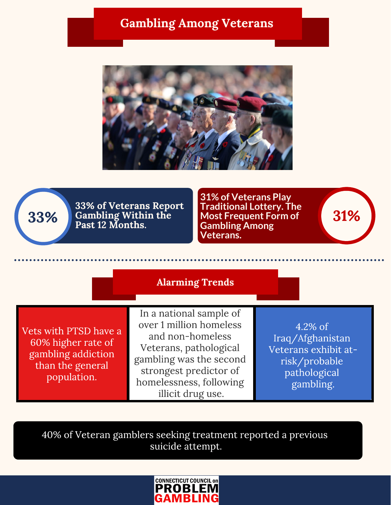## Gambling Among Veterans





33% of veteralis Report Finantional Lottery. The Gambling Within the Most Frequent Form of 31% 33% of Veterans Report Past 12 Months.

**31% of Veterans Play Traditional Lottery. The Most Frequent Form of Gambling Among Veterans.**

## Alarming Trends

Vets with PTSD have a gambling addiction than the general  $t_{\text{normal}}$ population.

In a national sample of<br>over 1 million homeless and non-homeless Veterans, pathological gambling was the second strongest predictor of homelessness, following homelessness, following illicit drug use.

4.2% of<br>Iraq/Afghanistan Veterans exhibit atrisk/probable pathological pathological<br>Logamblino gambling.<br>C

 $\frac{1}{2}$ suicide attending